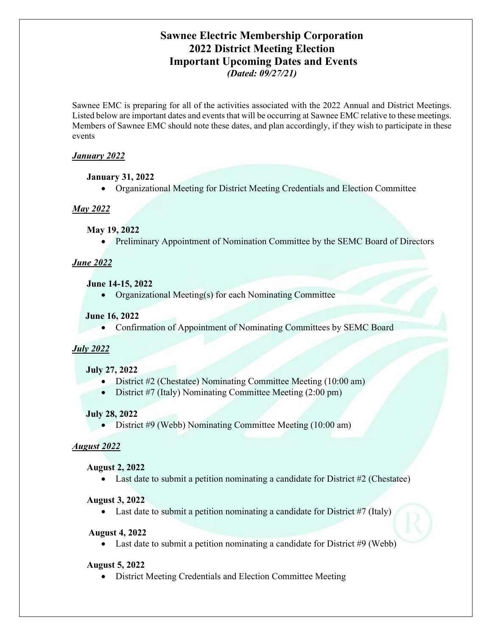# Sawnee Electric Membership Corporation 2022 District Meeting Election Important Upcoming Dates and Events (Dated: 09/27/21)

Sawnee EMC is preparing for all of the activities associated with the 2022 Annual and District Meetings. Listed below are important dates and events that will be occurring at Sawnee EMC relative to these meetings. Members of Sawnee EMC should note these dates, and plan accordingly, if they wish to participate in these events

# January 2022

## January 31, 2022

Organizational Meeting for District Meeting Credentials and Election Committee

# May 2022

## May 19, 2022

• Preliminary Appointment of Nomination Committee by the SEMC Board of Directors

# **June 2022**

#### June 14-15, 2022

• Organizational Meeting(s) for each Nominating Committee

## June 16, 2022

Confirmation of Appointment of Nominating Committees by SEMC Board

# July 2022

#### July 27, 2022

- District #2 (Chestatee) Nominating Committee Meeting (10:00 am)
- District #7 (Italy) Nominating Committee Meeting (2:00 pm)

#### July 28, 2022

• District #9 (Webb) Nominating Committee Meeting (10:00 am)

# August 2022

#### August 2, 2022

• Last date to submit a petition nominating a candidate for District #2 (Chestatee)

#### August 3, 2022

• Last date to submit a petition nominating a candidate for District #7 (Italy)

#### August 4, 2022

• Last date to submit a petition nominating a candidate for District #9 (Webb)

# August 5, 2022

District Meeting Credentials and Election Committee Meeting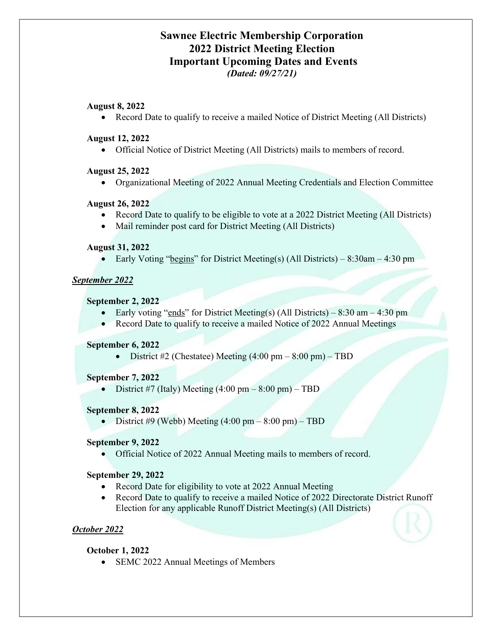# Sawnee Electric Membership Corporation 2022 District Meeting Election Important Upcoming Dates and Events (Dated: 09/27/21)

#### August 8, 2022

Record Date to qualify to receive a mailed Notice of District Meeting (All Districts)

#### August 12, 2022

Official Notice of District Meeting (All Districts) mails to members of record.

#### August 25, 2022

Organizational Meeting of 2022 Annual Meeting Credentials and Election Committee

#### August 26, 2022

- Record Date to qualify to be eligible to vote at a 2022 District Meeting (All Districts)
- Mail reminder post card for District Meeting (All Districts)

#### August 31, 2022

Early Voting "begins" for District Meeting(s) (All Districts) –  $8:30$ am –  $4:30$  pm

## September 2022

#### September 2, 2022

- Early voting "ends" for District Meeting(s) (All Districts)  $8:30$  am  $4:30$  pm
- Record Date to qualify to receive a mailed Notice of 2022 Annual Meetings

#### September 6, 2022

• District #2 (Chestatee) Meeting  $(4:00 \text{ pm} - 8:00 \text{ pm}) - \text{TBD}$ 

#### September 7, 2022

District #7 (Italy) Meeting  $(4:00 \text{ pm} - 8:00 \text{ pm}) - \text{TBD}$ 

#### September 8, 2022

• District #9 (Webb) Meeting  $(4:00 \text{ pm} - 8:00 \text{ pm}) - \text{TBD}$ 

#### September 9, 2022

Official Notice of 2022 Annual Meeting mails to members of record.

#### September 29, 2022

- Record Date for eligibility to vote at 2022 Annual Meeting
- Record Date to qualify to receive a mailed Notice of 2022 Directorate District Runoff Election for any applicable Runoff District Meeting(s) (All Districts)

# October 2022

#### October 1, 2022

• SEMC 2022 Annual Meetings of Members